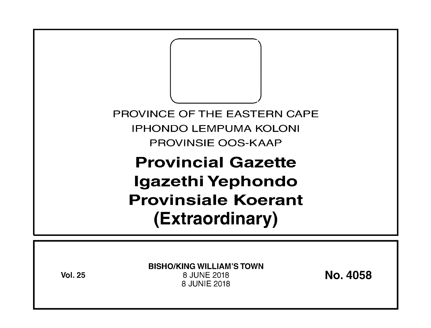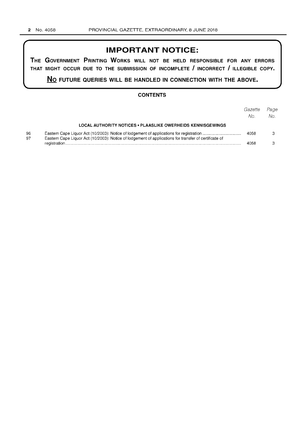## **IMPORTANT NOTICE:**

**THE GOVERNMENT PRINTING WORKS WILL NOT BE HELD RESPONSIBLE FOR ANY ERRORS THAT MIGHT OCCUR DUE TO THE SUBMISSION OF INCOMPLETE I INCORRECT I ILLEGIBLE COPY.** 

**No FUTURE QUERIES WILL BE HANDLED IN CONNECTION WITH THE ABOVE.** 

### **CONTENTS**

|          |                                                                                                       | Gazette | Page |
|----------|-------------------------------------------------------------------------------------------------------|---------|------|
|          |                                                                                                       | No.     | No.  |
|          | <b>LOCAL AUTHORITY NOTICES • PLAASLIKE OWERHEIDS KENNISGEWINGS</b>                                    |         |      |
| 96<br>97 | Eastern Cape Liquor Act (10/2003): Notice of lodgement of applications for transfer of certificate of | 4058    |      |
|          |                                                                                                       | 4058    |      |